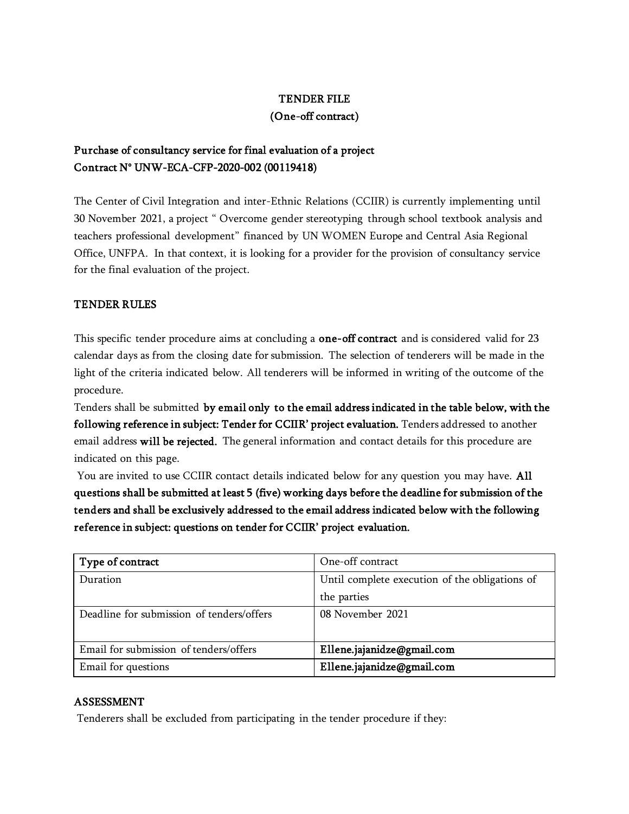#### TENDER FILE

#### (One-off contract)

# Purchase of consultancy service for final evaluation of a project Contract N° UNW-ECA-CFP-2020-002 (00119418)

The Center of Civil Integration and inter-Ethnic Relations (CCIIR) is currently implementing until 30 November 2021, a project " Overcome gender stereotyping through school textbook analysis and teachers professional development" financed by UN WOMEN Europe and Central Asia Regional Office, UNFPA. In that context, it is looking for a provider for the provision of consultancy service for the final evaluation of the project.

#### TENDER RULES

This specific tender procedure aims at concluding a one-off contract and is considered valid for 23 calendar days as from the closing date for submission. The selection of tenderers will be made in the light of the criteria indicated below. All tenderers will be informed in writing of the outcome of the procedure.

Tenders shall be submitted by email only to the email address indicated in the table below, with the following reference in subject: Tender for CCIIR' project evaluation. Tenders addressed to another email address will be rejected. The general information and contact details for this procedure are indicated on this page.

You are invited to use CCIIR contact details indicated below for any question you may have. All questions shall be submitted at least 5 (five) working days before the deadline for submission of the tenders and shall be exclusively addressed to the email address indicated below with the following reference in subject: questions on tender for CCIIR' project evaluation.

| Type of contract                          | One-off contract                               |
|-------------------------------------------|------------------------------------------------|
| Duration                                  | Until complete execution of the obligations of |
|                                           | the parties                                    |
| Deadline for submission of tenders/offers | 08 November 2021                               |
|                                           |                                                |
| Email for submission of tenders/offers    | Ellene.jajanidze@gmail.com                     |
| Email for questions                       | Ellene.jajanidze@gmail.com                     |

#### ASSESSMENT

Tenderers shall be excluded from participating in the tender procedure if they: